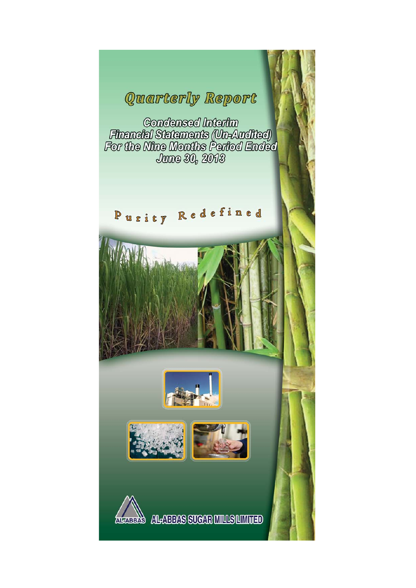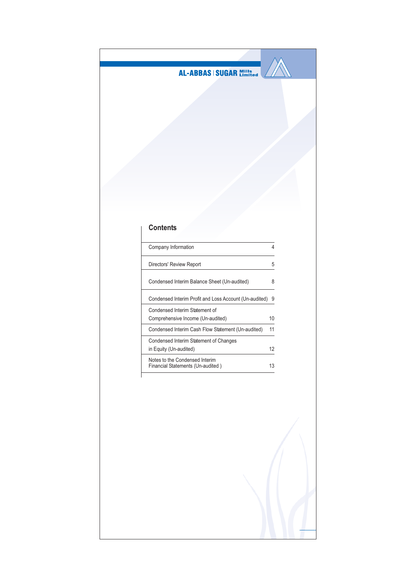

# **Contents**

| Company Information                                                 |    |
|---------------------------------------------------------------------|----|
| Directors' Review Report                                            | 5  |
| Condensed Interim Balance Sheet (Un-audited)                        | 8  |
| Condensed Interim Profit and Loss Account (Un-audited)              | 9  |
| Condensed Interim Statement of                                      |    |
| Comprehensive Income (Un-audited)                                   | 10 |
| Condensed Interim Cash Flow Statement (Un-audited)                  | 11 |
| Condensed Interim Statement of Changes                              |    |
| in Equity (Un-audited)                                              | 12 |
| Notes to the Condensed Interim<br>Financial Statements (Un-audited) | 13 |
|                                                                     |    |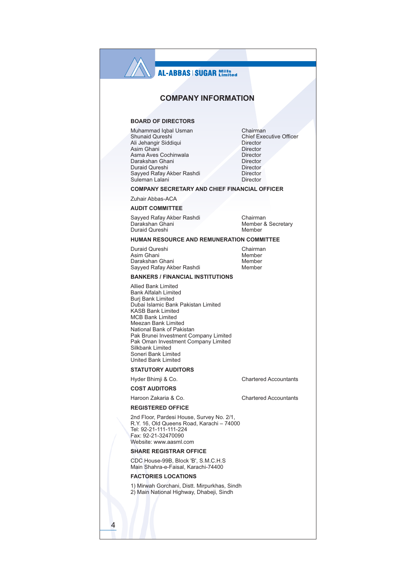# **AL-ABBAS | SUGAR Millisterd**

## **COMPANY INFORMATION**

### **BOARD OF DIRECTORS**

Muhammad Iqbal Usman Shunaid Qureshi Ali Jehangir Siddiqui Asim Ghani Asma Aves Cochinwala Darakshan Ghani Duraid Qureshi Sayyed Rafay Akber Rashdi Suleman Lalani

Chairman **Chief Executive Officer** Director Director Director Director Director Director Director

### **COMPANY SECRETARY AND CHIEF FINANCIAL OFFICER**

Zuhair Abbas-ACA

#### **AUDIT COMMITTEE**

Sayyed Rafay Akber Rashdi Darakshan Ghani Duraid Qureshi

Chairman Member & Secretary Member

**Chartered Accountants** 

**Chartered Accountants** 

#### HUMAN RESOURCE AND REMUNERATION COMMITTEE

Duraid Qureshi Asim Ghani Darakshan Ghani Sayyed Rafay Akber Rashdi

Chairman Member Member Member

#### **BANKERS / FINANCIAL INSTITUTIONS**

**Allied Bank Limited Bank Alfalah Limited Buri Bank Limited** Dubai Islamic Bank Pakistan Limited **KASB Bank Limited** MCB Bank Limited Meezan Bank Limited National Bank of Pakistan Pak Brunei Investment Company Limited Pak Oman Investment Company Limited Silkhank I imited Soneri Bank Limited United Bank Limited

#### **STATUTORY AUDITORS**

Hyder Bhimji & Co.

## **COST AUDITORS**

Haroon Zakaria & Co.

#### **REGISTERED OFFICE**

2nd Floor, Pardesi House, Survey No. 2/1, R.Y. 16, Old Queens Road, Karachi - 74000 Tel: 92-21-111-111-224 Fax: 92-21-32470090 Website: www.aasml.com

#### **SHARE REGISTRAR OFFICE**

CDC House-99B, Block 'B', S.M.C.H.S Main Shahra-e-Faisal, Karachi-74400

#### **FACTORIES LOCATIONS**

1) Mirwah Gorchani, Distt. Mirpurkhas, Sindh 2) Main National Highway, Dhabeji, Sindh

 $\overline{4}$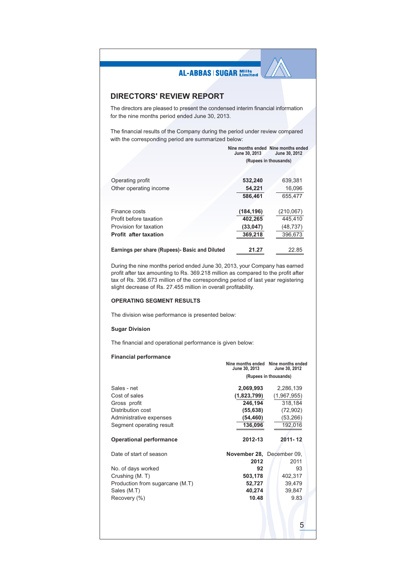## **DIRECTORS' REVIEW REPORT**

The directors are pleased to present the condensed interim financial information for the nine months period ended June 30, 2013.

The financial results of the Company during the period under review compared with the corresponding period are summarized below:

|                                                | June 30, 2013 | Nine months ended Nine months ended<br>June 30, 2012 |
|------------------------------------------------|---------------|------------------------------------------------------|
|                                                |               | (Rupees in thousands)                                |
|                                                |               |                                                      |
| Operating profit                               | 532,240       | 639,381                                              |
| Other operating income                         | 54,221        | 16,096                                               |
|                                                | 586.461       | 655.477                                              |
| Finance costs                                  | (184, 196)    | (210,067)                                            |
| Profit before taxation                         | 402.265       | 445.410                                              |
| Provision for taxation                         | (33, 047)     | (48, 737)                                            |
| <b>Profit after taxation</b>                   | 369,218       | 396,673                                              |
| Earnings per share (Rupees)- Basic and Diluted | 21.27         | 22.85                                                |

During the nine months period ended June 30, 2013, your Company has earned profit after tax amounting to Rs. 369.218 million as compared to the profit after tax of Rs. 396.673 million of the corresponding period of last year registering slight decrease of Rs. 27.455 million in overall profitability.

### **OPERATING SEGMENT RESULTS**

The division wise performance is presented below:

#### **Sugar Division**

The financial and operational performance is given below:

### **Financial performance**

| June 30, 2013 | Nine months ended Nine months ended<br>June 30, 2012                                                                              |
|---------------|-----------------------------------------------------------------------------------------------------------------------------------|
|               | (Rupees in thousands)                                                                                                             |
|               | 2,286,139<br>(1,967,955)<br>318,184<br>(72, 902)                                                                                  |
|               | (53, 266)                                                                                                                         |
|               | 192,016                                                                                                                           |
| 2012-13       | $2011 - 12$                                                                                                                       |
|               |                                                                                                                                   |
| 2012          | 2011                                                                                                                              |
| 92            | 93                                                                                                                                |
| 503,178       | 402,317                                                                                                                           |
|               | 39,479                                                                                                                            |
|               | 39,847                                                                                                                            |
|               | 9.83                                                                                                                              |
|               | 5                                                                                                                                 |
|               | 2,069,993<br>(1,823,799)<br>246,194<br>(55, 638)<br>(54,460)<br>136,096<br>November 28, December 09,<br>52,727<br>40,274<br>10.48 |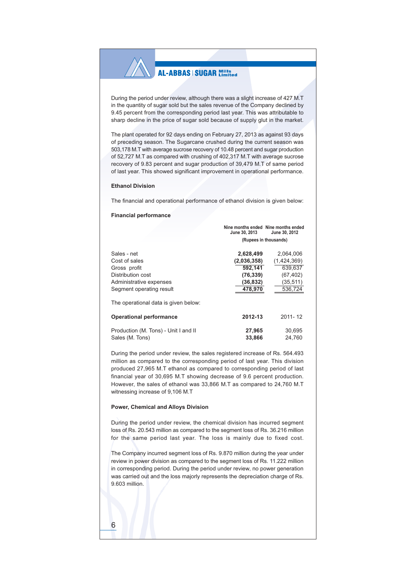During the period under review, although there was a slight increase of 427 M.T in the quantity of sugar sold but the sales revenue of the Company declined by 9.45 percent from the corresponding period last year. This was attributable to sharp decline in the price of sugar sold because of supply glut in the market.

The plant operated for 92 days ending on February 27, 2013 as against 93 days of preceding season. The Sugarcane crushed during the current season was 503,178 M.T with average sucrose recovery of 10.48 percent and sugar production of 52,727 M.T as compared with crushing of 402,317 M.T with average sucrose recovery of 9.83 percent and sugar production of 39,479 M.T of same period of last year. This showed significant improvement in operational performance.

#### **Ethanol Division**

The financial and operational performance of ethanol division is given below:

#### **Financial performance**

|                                      | June 30, 2013         | Nine months ended Nine months ended<br>June 30, 2012 |  |  |  |  |  |
|--------------------------------------|-----------------------|------------------------------------------------------|--|--|--|--|--|
|                                      | (Rupees in thousands) |                                                      |  |  |  |  |  |
| Sales - net                          | 2.628.499             | 2.064.006                                            |  |  |  |  |  |
| Cost of sales                        | (2,036,358)           | (1,424,369)                                          |  |  |  |  |  |
| Gross profit                         | 592.141               | 639.637                                              |  |  |  |  |  |
| Distribution cost                    | (76, 339)             | (67, 402)                                            |  |  |  |  |  |
| Administrative expenses              | (36, 832)             | (35, 511)                                            |  |  |  |  |  |
| Segment operating result             | 478,970               | 536,724                                              |  |  |  |  |  |
| The operational data is given below: |                       |                                                      |  |  |  |  |  |
| <b>Operational performance</b>       | 2012-13               | $2011 - 12$                                          |  |  |  |  |  |
| Production (M. Tons) - Unit I and II | 27,965                | 30,695                                               |  |  |  |  |  |
| Sales (M. Tons)                      | 33,866                | 24,760                                               |  |  |  |  |  |

During the period under review, the sales registered increase of Rs. 564.493 million as compared to the corresponding period of last year. This division produced 27,965 M.T ethanol as compared to corresponding period of last financial year of 30,695 M.T showing decrease of 9.6 percent production. However, the sales of ethanol was 33,866 M.T as compared to 24,760 M.T witnessing increase of 9,106 M.T

#### Power, Chemical and Alloys Division

During the period under review, the chemical division has incurred segment loss of Rs. 20.543 million as compared to the segment loss of Rs. 36.216 million for the same period last year. The loss is mainly due to fixed cost.

The Company incurred segment loss of Rs. 9.870 million during the year under review in power division as compared to the segment loss of Rs. 11.222 million in corresponding period. During the period under review, no power generation was carried out and the loss majorly represents the depreciation charge of Rs. 9.603 million.

# 6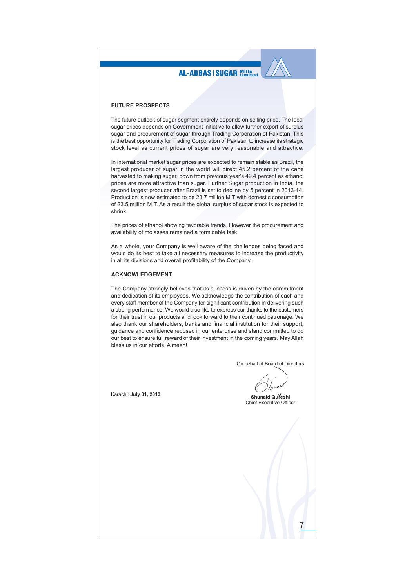#### **FUTURE PROSPECTS**

The future outlook of sugar segment entirely depends on selling price. The local sugar prices depends on Government initiative to allow further export of surplus sugar and procurement of sugar through Trading Corporation of Pakistan. This is the best opportunity for Trading Corporation of Pakistan to increase its strategic stock level as current prices of sugar are very reasonable and attractive.

In international market sugar prices are expected to remain stable as Brazil, the largest producer of sugar in the world will direct 45.2 percent of the cane harvested to making sugar, down from previous year's 49.4 percent as ethanol prices are more attractive than sugar. Further Sugar production in India, the second largest producer after Brazil is set to decline by 5 percent in 2013-14. Production is now estimated to be 23.7 million M.T with domestic consumption of 23.5 million M.T. As a result the global surplus of sugar stock is expected to shrink.

The prices of ethanol showing favorable trends. However the procurement and availability of molasses remained a formidable task.

As a whole, your Company is well aware of the challenges being faced and would do its best to take all necessary measures to increase the productivity in all its divisions and overall profitability of the Company.

#### **ACKNOWLEDGEMENT**

The Company strongly believes that its success is driven by the commitment and dedication of its employees. We acknowledge the contribution of each and every staff member of the Company for significant contribution in delivering such a strong performance. We would also like to express our thanks to the customers for their trust in our products and look forward to their continued patronage. We also thank our shareholders, banks and financial institution for their support. guidance and confidence reposed in our enterprise and stand committed to do our best to ensure full reward of their investment in the coming years. May Allah bless us in our efforts. A'meen!

On behalf of Board of Directors

Shunaid Qureshi Chief Executive Officer

Karachi: July 31, 2013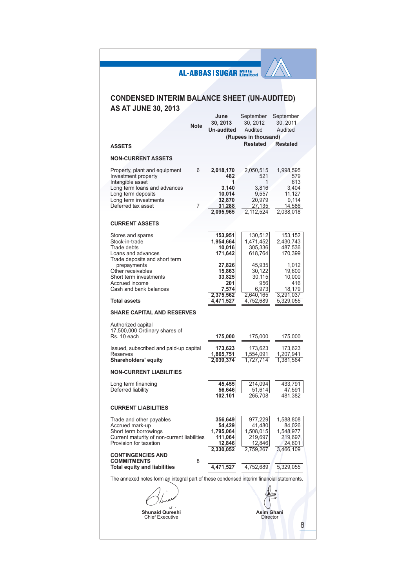|                                                                                                                                                         |             | <b>AL-ABBAS   SUGAR Mills</b>                                    |                                                                  |                            |                                                                    |
|---------------------------------------------------------------------------------------------------------------------------------------------------------|-------------|------------------------------------------------------------------|------------------------------------------------------------------|----------------------------|--------------------------------------------------------------------|
|                                                                                                                                                         |             |                                                                  |                                                                  |                            |                                                                    |
| <b>CONDENSED INTERIM BALANCE SHEET (UN-AUDITED)</b><br><b>AS AT JUNE 30, 2013</b>                                                                       |             |                                                                  |                                                                  |                            |                                                                    |
|                                                                                                                                                         | <b>Note</b> | June<br>30.2013<br>Un-audited                                    | September<br>30.2012<br>Audited<br>(Rupees in thousand)          |                            | September<br>30, 2011<br>Audited                                   |
| <b>ASSETS</b>                                                                                                                                           |             |                                                                  | <b>Restated</b>                                                  |                            | <b>Restated</b>                                                    |
| <b>NON-CURRENT ASSETS</b>                                                                                                                               |             |                                                                  |                                                                  |                            |                                                                    |
| Property, plant and equipment<br>Investment property<br>Intangible asset<br>Long term loans and advances<br>Long term deposits<br>Long term investments | 6           | 2,018,170<br>482<br>1<br>3,140<br>10,014<br>32,870               | 2,050,515<br>20,979                                              | 521<br>1<br>3,816<br>9,557 | 1,998,595<br>579<br>613<br>3,404<br>11,127<br>9,114                |
| Deferred tax asset                                                                                                                                      | 7           | 31,288<br>2.095.965                                              | 2,112,524                                                        | 27,135                     | 14,586<br>2.038.018                                                |
| <b>CURRENT ASSETS</b>                                                                                                                                   |             |                                                                  |                                                                  |                            |                                                                    |
| Stores and spares<br>Stock-in-trade<br>Trade debts<br>Loans and advances<br>Trade deposits and short term                                               |             | 153,951<br>1,954,664<br>10,016<br>171,642                        | 130,512<br>1,471,452<br>305,336<br>618,764                       |                            | 153,152<br>2,430,743<br>487,536<br>170,399                         |
| prepayments<br>Other receivables<br>Short term investments<br>Accrued income<br>Cash and bank balances                                                  |             | 27,826<br>15,863<br>33,825<br>201<br>7,574                       | 45,935<br>30,122<br>30,115                                       | 956<br>6,973               | 1,012<br>19,600<br>10,000<br>416<br>18,179                         |
| <b>Total assets</b>                                                                                                                                     |             | 2,375,562<br>4,471,527                                           | 2,640,165<br>4,752,689                                           |                            | 3,291,037<br>5,329,055                                             |
| <b>SHARE CAPITAL AND RESERVES</b>                                                                                                                       |             |                                                                  |                                                                  |                            |                                                                    |
| Authorized capital<br>17,500,000 Ordinary shares of<br>Rs. 10 each                                                                                      |             | 175,000                                                          | 175,000                                                          |                            | 175,000                                                            |
| Issued, subscribed and paid-up capital<br><b>Reserves</b><br><b>Shareholders' equity</b>                                                                |             | 173,623<br>1,865,751<br>2,039,374                                | 173,623<br>1,554,091<br>1,727,714                                |                            | 173,623<br>1,207,941<br>1,381,564                                  |
| <b>NON-CURRENT LIABILITIES</b>                                                                                                                          |             |                                                                  |                                                                  |                            |                                                                    |
| Long term financing<br>Deferred liability                                                                                                               |             | 45,455<br>56,646<br>102,101                                      | 214,094<br>51,614<br>265,708                                     |                            | 433,791<br>47,591<br>481,382                                       |
| <b>CURRENT LIABILITIES</b>                                                                                                                              |             |                                                                  |                                                                  |                            |                                                                    |
| Trade and other payables<br>Accrued mark-up<br>Short term borrowings<br>Current maturity of non-current liabilities<br>Provision for taxation           |             | 356,649<br>54,429<br>1,795,064<br>111,064<br>12,846<br>2,330,052 | 977,229<br>41,480<br>1,508,015<br>219,697<br>12,846<br>2.759.267 |                            | 1,588,808<br>84,026<br>1,548,977<br>219,697<br>24,601<br>3.466.109 |
| <b>CONTINGENCIES AND</b><br><b>COMMITMENTS</b><br><b>Total equity and liabilities</b>                                                                   | 8           | 4,471,527                                                        | 4,752,689                                                        |                            | 5,329,055                                                          |
| The annexed notes form an integral part of these condensed interim financial statements.                                                                |             |                                                                  |                                                                  |                            |                                                                    |
|                                                                                                                                                         |             |                                                                  |                                                                  |                            |                                                                    |
| <b>Shunaid Qureshi</b><br><b>Chief Executive</b>                                                                                                        |             |                                                                  |                                                                  | <b>Director</b>            | <b>Asim Ghani</b>                                                  |
|                                                                                                                                                         |             |                                                                  |                                                                  |                            | 8                                                                  |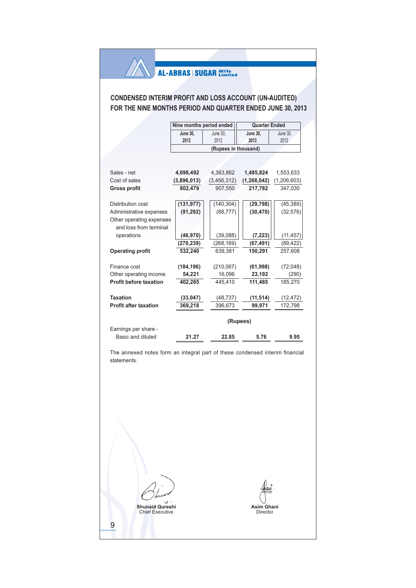# **CONDENSED INTERIM PROFIT AND LOSS ACCOUNT (UN-AUDITED)** FOR THE NINE MONTHS PERIOD AND QUARTER ENDED JUNE 30, 2013

|                               | Nine months period ended |                      | <b>Quarter Ended</b> |               |  |  |
|-------------------------------|--------------------------|----------------------|----------------------|---------------|--|--|
|                               | <b>June 30,</b>          | June 30.             | <b>June 30.</b>      | June 30,      |  |  |
|                               | 2013                     | 2012                 | 2013                 | 2012          |  |  |
|                               |                          | (Rupees in thousand) |                      |               |  |  |
|                               |                          |                      |                      |               |  |  |
|                               |                          |                      |                      |               |  |  |
| Sales - net                   | 4,698,492                | 4,363,862            | 1,485,824            | 1,553,633     |  |  |
| Cost of sales                 | (3,896,013)              | (3, 456, 312)        | (1, 268, 042)        | (1, 206, 603) |  |  |
| <b>Gross profit</b>           | 802,479                  | 907,550              | 217,782              | 347,030       |  |  |
|                               |                          |                      |                      |               |  |  |
| Distribution cost             | (131, 977)               | (140, 304)           | (29, 798)            | (45, 389)     |  |  |
| Administrative expenses       | (91, 292)                | (88, 777)            | (30, 470)            | (32, 576)     |  |  |
| Other operating expenses      |                          |                      |                      |               |  |  |
| and loss from terminal        |                          |                      |                      |               |  |  |
| operations                    | (46, 970)                | (39,088)             | (7, 223)             | (11, 457)     |  |  |
|                               | (270, 239)               | (268, 169)           | (67, 491)            | (89, 422)     |  |  |
| <b>Operating profit</b>       | 532.240                  | 639.381              | 150.291              | 257.608       |  |  |
|                               |                          |                      |                      |               |  |  |
| Finance cost                  | (184, 196)               | (210, 067)           | (61, 998)            | (72,048)      |  |  |
| Other operating income        | 54,221                   | 16,096               | 23,192               | (290)         |  |  |
| <b>Profit before taxation</b> | 402,265                  | 445.410              | 111,485              | 185,270       |  |  |
|                               |                          |                      |                      |               |  |  |
| <b>Taxation</b>               | (33, 047)                | (48, 737)            | (11, 514)            | (12, 472)     |  |  |
| <b>Profit after taxation</b>  | 369,218                  | 396,673              | 99,971               | 172,798       |  |  |
|                               |                          |                      |                      |               |  |  |
|                               |                          |                      | (Rupees)             |               |  |  |
| Earnings per share -          |                          |                      |                      |               |  |  |
| Basic and diluted             | 21.27                    | 22.85                | 5.76                 | 9.95          |  |  |

The annexed notes form an integral part of these condensed interim financial statements.

U Shunaid Qureshi<br>Chief Executive 9

Asim Ghani<br>Director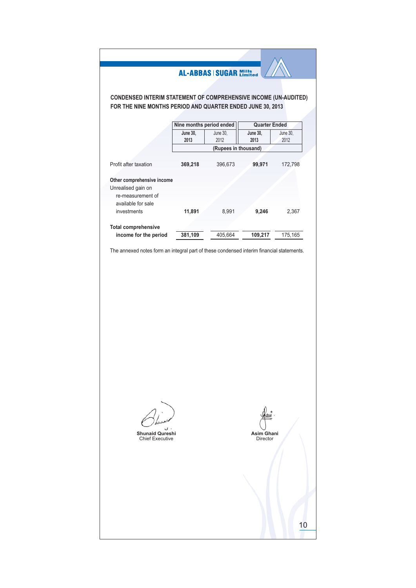# **CONDENSED INTERIM STATEMENT OF COMPREHENSIVE INCOME (UN-AUDITED)** FOR THE NINE MONTHS PERIOD AND QUARTER ENDED JUNE 30, 2013

|                            | Nine months period ended |                      | <b>Quarter Ended</b> |          |
|----------------------------|--------------------------|----------------------|----------------------|----------|
|                            | June 30,                 | June 30.             | June 30,             | June 30. |
|                            | 2013                     | 2012                 | 2013                 | 2012     |
|                            |                          | (Rupees in thousand) |                      |          |
|                            |                          |                      |                      |          |
| Profit after taxation      | 369,218                  | 396,673              | 99,971               | 172,798  |
|                            |                          |                      |                      |          |
| Other comprehensive income |                          |                      |                      |          |
| Unrealised gain on         |                          |                      |                      |          |
| re-measurement of          |                          |                      |                      |          |
| available for sale         |                          |                      |                      |          |
| investments                | 11,891                   | 8,991                | 9,246                | 2,367    |
|                            |                          |                      |                      |          |
| <b>Total comprehensive</b> |                          |                      |                      |          |
| income for the period      | 381,109                  | 405,664              | 109,217              | 175,165  |

The annexed notes form an integral part of these condensed interim financial statements.

Shunaid Qureshi<br>Chief Executive

Asim Ghani<br>Director

 $10$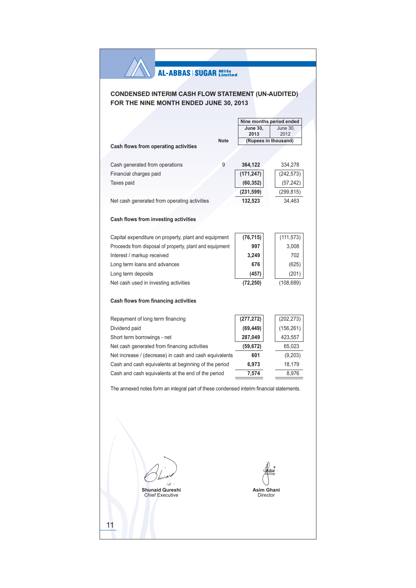# **CONDENSED INTERIM CASH FLOW STATEMENT (UN-AUDITED)** FOR THE NINE MONTH ENDED JUNE 30, 2013

|                                                          |             | Nine months period ended |                         |  |  |  |
|----------------------------------------------------------|-------------|--------------------------|-------------------------|--|--|--|
|                                                          |             | <b>June 30,</b><br>2013  | <b>June 30.</b><br>2012 |  |  |  |
|                                                          | <b>Note</b> | (Rupees in thousand)     |                         |  |  |  |
| Cash flows from operating activities                     |             |                          |                         |  |  |  |
|                                                          | 9           | 364,122                  | 334,278                 |  |  |  |
| Cash generated from operations<br>Financial charges paid |             | (171, 247)               |                         |  |  |  |
|                                                          |             |                          | (242, 573)              |  |  |  |
| Taxes paid                                               |             | (60, 352)                | (57, 242)               |  |  |  |
|                                                          |             | (231, 599)               | (299, 815)              |  |  |  |
| Net cash generated from operating activities             |             | 132,523                  | 34,463                  |  |  |  |
|                                                          |             |                          |                         |  |  |  |
| Cash flows from investing activities                     |             |                          |                         |  |  |  |
| Capital expenditure on property, plant and equipment     |             | (76, 715)                | (111, 573)              |  |  |  |
| Proceeds from disposal of property, plant and equipment  |             | 997<br>3,008             |                         |  |  |  |
| Interest / markup received                               |             | 3,249                    | 702                     |  |  |  |
| Long term loans and advances                             |             | 676<br>(625)             |                         |  |  |  |
| Long term deposits                                       |             | (457)                    | (201)                   |  |  |  |
| Net cash used in investing activities                    |             | (72, 250)                | (108, 689)              |  |  |  |
|                                                          |             |                          |                         |  |  |  |
| Cash flows from financing activities                     |             |                          |                         |  |  |  |
|                                                          |             |                          |                         |  |  |  |
| Repayment of long term financing                         |             | (277, 272)               | (202, 273)              |  |  |  |
| Dividend paid                                            |             | (69, 449)                | (156, 261)              |  |  |  |
| Short term borrowings - net                              |             | 287,049                  | 423,557                 |  |  |  |
| Net cash generated from financing activities             |             | (59, 672)                | 65,023                  |  |  |  |
| Net increase / (decrease) in cash and cash equivalents   |             | 601                      | (9,203)                 |  |  |  |
| Cash and cash equivalents at beginning of the period     |             | 6,973                    | 18,179                  |  |  |  |
| Cash and cash equivalents at the end of the period       |             | 7,574                    | 8,976                   |  |  |  |
|                                                          |             |                          |                         |  |  |  |

The annexed notes form an integral part of these condensed interim financial statements.

**Shunaid Qureshi** Chief Executive

Asim Ghani<br>Director

 $11$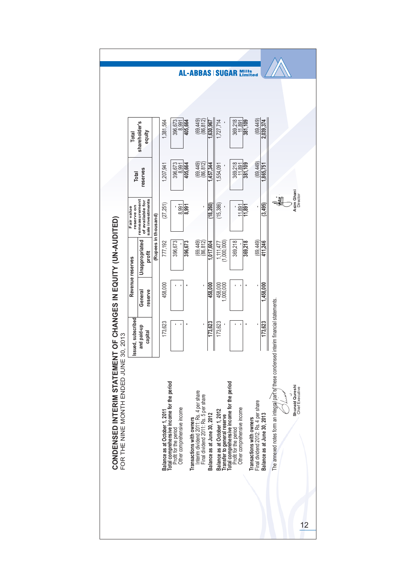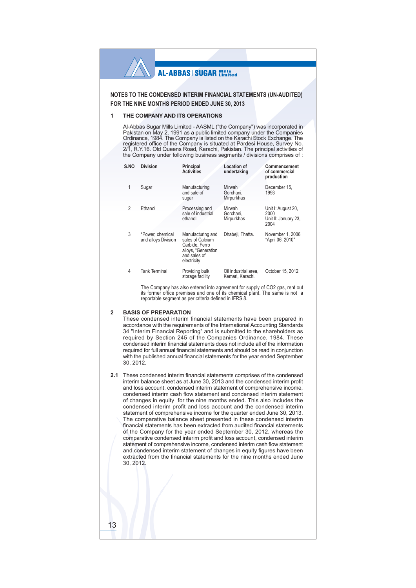NOTES TO THE CONDENSED INTERIM FINANCIAL STATEMENTS (UN-AUDITED) FOR THE NINE MONTHS PERIOD ENDED JUNE 30, 2013

#### THE COMPANY AND ITS OPERATIONS 1

Al-Abbas Sugar Mills Limited - AASML ("the Company") was incorporated in Pakistan on May 2, 1991 as a public limited company under the Companies Ordinance, 1984. The Company is listed on the Karachi Stock Exchange. The registered office of the Company is situated at Pardesi House, Survey No. 2/1, R.Y.16. Old Queens Road, Karachi, Pakistan. The principal activities of the Company under following business segments / divisions comprises of :

| S.NO | <b>Division</b>                         | Principal<br><b>Activities</b>                                                                                | <b>Location of</b><br>undertaking        | Commencement<br>of commercial<br>production                |
|------|-----------------------------------------|---------------------------------------------------------------------------------------------------------------|------------------------------------------|------------------------------------------------------------|
| 1    | Sugar                                   | Manufacturing<br>and sale of<br>sugar                                                                         | Mirwah<br>Gorchani.<br>Mirpurkhas        | December 15,<br>1993                                       |
| 2    | Ethanol                                 | Processing and<br>sale of industrial<br>ethanol                                                               | Mirwah<br>Gorchani.<br>Mirpurkhas        | Unit I: August 20,<br>2000<br>Unit II: January 23,<br>2004 |
| 3    | *Power, chemical<br>and alloys Division | Manufacturing and<br>sales of Calcium<br>Carbide, Ferro<br>alloys, *Generation<br>and sales of<br>electricity | Dhabeji, Thatta.                         | November 1, 2006<br>*April 06, 2010"                       |
| 4    | <b>Tank Terminal</b>                    | Providing bulk<br>storage facility                                                                            | Oil industrial area.<br>Kemari, Karachi. | October 15, 2012                                           |

The Company has also entered into agreement for supply of CO2 gas, rent out its former office premises and one of its chemical plant. The same is not a reportable segment as per criteria defined in IFRS 8.

#### **BASIS OF PREPARATION**  $\mathfrak{p}$

13

These condensed interim financial statements have been prepared in accordance with the requirements of the International Accounting Standards 34 "Interim Financial Reporting" and is submitted to the shareholders as required by Section 245 of the Companies Ordinance, 1984. These condensed interim financial statements does not include all of the information required for full annual financial statements and should be read in conjunction with the published annual financial statements for the year ended September 30, 2012.

2.1 These condensed interim financial statements comprises of the condensed interim balance sheet as at June 30, 2013 and the condensed interim profit and loss account, condensed interim statement of comprehensive income, condensed interim cash flow statement and condensed interim statement of changes in equity for the nine months ended. This also includes the condensed interim profit and loss account and the condensed interim statement of comprehensive income for the quarter ended June 30, 2013. The comparative balance sheet presented in these condensed interim financial statements has been extracted from audited financial statements of the Company for the year ended September 30, 2012, whereas the comparative condensed interim profit and loss account, condensed interim statement of comprehensive income, condensed interim cash flow statement and condensed interim statement of changes in equity figures have been extracted from the financial statements for the nine months ended June 30.2012.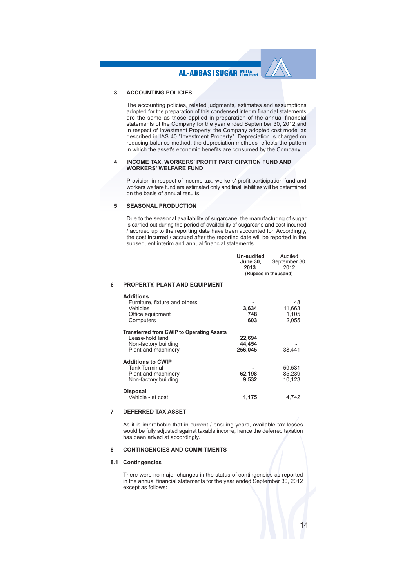#### **AL-ABBAS | SUGAR Mills ACCOUNTING POLICIES**  $\mathbf{\mathbf{z}}$ The accounting policies, related judgments, estimates and assumptions adopted for the preparation of this condensed interim financial statements are the same as those applied in preparation of the annual financial statements of the Company for the year ended September 30, 2012 and in respect of Investment Property, the Company adopted cost model as described in IAS 40 "Investment Property". Depreciation is charged on reducing balance method, the depreciation methods reflects the pattern in which the asset's economic benefits are consumed by the Company. **INCOME TAX, WORKERS' PROFIT PARTICIPATION FUND AND**  $\boldsymbol{\Lambda}$ **WORKERS' WELFARE FUND** Provision in respect of income tax, workers' profit participation fund and workers welfare fund are estimated only and final liabilities will be determined on the basis of annual results. **SEASONAL PRODUCTION** 5 Due to the seasonal availability of sugarcane, the manufacturing of sugar is carried out during the period of availability of sugarcane and cost incurred / accrued up to the reporting date have been accounted for. Accordingly, the cost incurred / accrued after the reporting date will be reported in the subsequent interim and annual financial statements. **Un-audited** Audited September 30, June 30,<br>2013  $2012$ (Rupees in thousand) PROPERTY, PLANT AND EQUIPMENT 6 **Additions** Furniture, fixture and others 48 Vehicles 3,634 11,663 1,105 Office equipment 748  $603$  $2.055$ Computers **Transferred from CWIP to Operating Assets** 22.694 hnel blod-ezee l Non-factory building 44.454 38.441 Plant and machinery 256,045 **Additions to CWIP Tank Terminal** 59,531 Plant and machinery **62108** 85 239 Non-factory building 9,532  $10,123$ Disposal Vehicle - at cost 1,175 4,742 **DEFERRED TAX ASSET**  $\overline{7}$

As it is improbable that in current / ensuing years, available tax losses would be fully adjusted against taxable income, hence the deferred taxation has been arived at accordingly.

#### $\mathbf{R}$ **CONTINGENCIES AND COMMITMENTS**

#### 8.1 Contingencies

There were no major changes in the status of contingencies as reported in the annual financial statements for the year ended September 30, 2012 except as follows: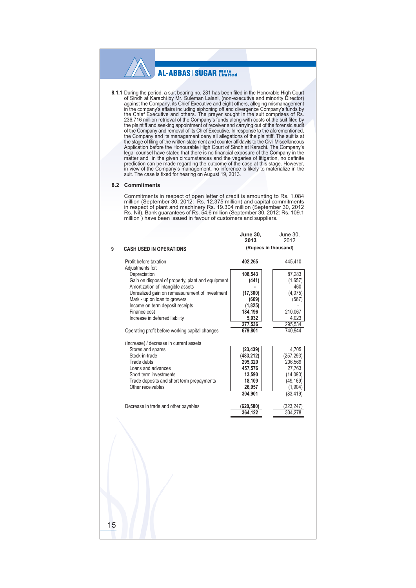8.1.1 During the period, a suit bearing no. 281 has been filed in the Honorable High Court of Sindh at Karachi by Mr. Suleman Lalani, (non-executive and minority Director) against the Company, its Chief Executive and eight others, alleging mismanagement giants the company's affairs including siphoning off and divergence Company's funds by<br>in the company's affairs including siphoning off and divergence Company's funds by<br>the Chief Executive and others. The prayer sought in of the Company and removal of its Chief Executive. In response to the aforementioned, the Company and its management deny all allegations of the plaintiff. The suit is at<br>the stage of filing of the written statement and counter affidavits to the Civil Miscellaneous Application before the Honourable High Court of Sindh at Karachi. The Company's legal counsel have stated that there is no financial exposure of the Company in the Figure of interesting in the given circumstances and the vagaries of litigation, no definite<br>prediction can be made regarding the outcome of the case at this stage. However,<br>in view of the Company's management, no inferenc suit. The case is fixed for hearing on August 19, 2013.

#### 8.2 Commitments

Commitments in respect of open letter of credit is amounting to Rs. 1.084 Communitions in respect of optimization (September 30, 2012: Rs. 1.2.375 million) and capital commitments<br>in respect of plant and machinery Rs. 19.376 million) and capital commitments<br>in respect of plant and machinery Rs.

 $l$ une 30

 $l$ une 30

|    |                                                   | 2013                 | 2012       |
|----|---------------------------------------------------|----------------------|------------|
| 9  | <b>CASH USED IN OPERATIONS</b>                    | (Rupees in thousand) |            |
|    | Profit before taxation                            | 402,265              | 445,410    |
|    | Adjustments for:<br>Depreciation                  | 108,543              | 87,283     |
|    | Gain on disposal of property, plant and equipment | (441)                | (1,657)    |
|    | Amortization of intangible assets                 |                      | 460        |
|    | Unrealized gain on remeasurement of investment    | (17, 300)            | (4,075)    |
|    | Mark - up on loan to growers                      | (669)                | (567)      |
|    | Income on term deposit receipts                   | (1,825)              |            |
|    | Finance cost                                      | 184,196              | 210,067    |
|    | Increase in deferred liability                    | 5,032                | 4,023      |
|    |                                                   | 277,536              | 295,534    |
|    | Operating profit before working capital changes   | 679,801              | 740,944    |
|    |                                                   |                      |            |
|    | (Increase) / decrease in current assets           |                      |            |
|    | Stores and spares                                 | (23, 439)            | 4,705      |
|    | Stock-in-trade                                    | (483, 212)           | (257, 293) |
|    | Trade debts                                       | 295,320              | 206,569    |
|    | Loans and advances                                | 457,576              | 27,763     |
|    | Short term investments                            | 13,590               | (14,090)   |
|    | Trade deposits and short term prepayments         | 18,109               | (49, 169)  |
|    | Other receivables                                 | 26,957               | (1,904)    |
|    |                                                   | 304,901              | (83, 419)  |
|    |                                                   |                      |            |
|    | Decrease in trade and other payables              | (620, 580)           | (323, 247) |
|    |                                                   | 364,122              | 334,278    |
| 15 |                                                   |                      |            |
|    |                                                   |                      |            |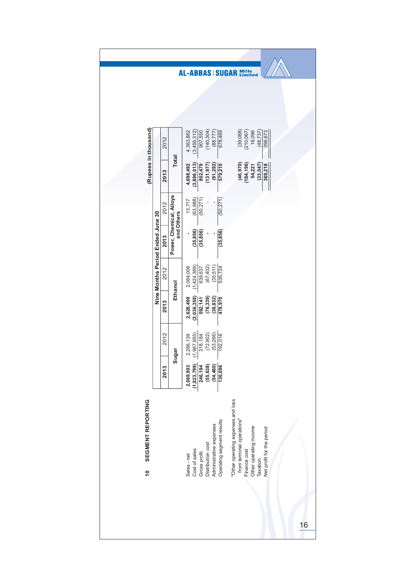| (Rupees in thousand)    |  | 2012 |              | 4,363,862   | (3,456,312)                      | 907,550      | (140, 304)        | (88, 777)               | 678,469                   |                                       | (39,088)                  | (210, 067)   | 16,096                 | (48, 737) | 396,673                   |           |  |  |  |  |  |  |  |
|-------------------------|--|------|--------------|-------------|----------------------------------|--------------|-------------------|-------------------------|---------------------------|---------------------------------------|---------------------------|--------------|------------------------|-----------|---------------------------|-----------|--|--|--|--|--|--|--|
|                         |  | 2013 | <b>Total</b> | 4,698,492   | (3,896,013)                      | 802,479      | (131, 977)        | (91, 292)               | 579,210                   |                                       | (46, 970)                 | (184, 196)   | 54,221                 | (33, 047) | 369,218                   |           |  |  |  |  |  |  |  |
|                         |  | 2012 |              | 13,717      | (63, 988)                        | (50, 271)    |                   |                         | (50, 271)                 |                                       |                           |              |                        |           |                           |           |  |  |  |  |  |  |  |
|                         |  |      |              |             | Nine Months Period Ended June 30 |              |                   |                         | 2013                      | Power, Chemical, Alloys<br>and Others |                           | (35, 856)    | (35, 856)              |           |                           | (35, 856) |  |  |  |  |  |  |  |
|                         |  | 2012 | Ethanol      | 2,064,006   | (1,424,369)                      | 639,637      | (67, 402)         | (35, 511)               | 536,724                   |                                       |                           |              |                        |           |                           |           |  |  |  |  |  |  |  |
|                         |  | 2013 |              | 2,628,499   | (2,036,358)                      | 592,141      | (76, 339)         | (36, 832)               | 478,970                   |                                       |                           |              |                        |           |                           |           |  |  |  |  |  |  |  |
|                         |  | 2012 | Sugar        | 2,286,139   | (1,967,955)                      | 318,184      | (72, 902)         | (53,266)                | 192,016                   |                                       |                           |              |                        |           |                           |           |  |  |  |  |  |  |  |
|                         |  | 2013 |              | 2,069,993   | (1, 823, 799)                    | 246,194      | (55, 638)         | (54, 460)               | 136,096                   |                                       |                           |              |                        |           |                           |           |  |  |  |  |  |  |  |
| SEGMENT REPORTING<br>٥Ļ |  |      |              | Sales - net | Cost of sales                    | Gross profit | Distribution cost | Administrative expenses | Operating segment results | "Other operating expenses and loss    | from terminal operations" | Finance cost | Other operating income | Taxation  | Net profit for the period |           |  |  |  |  |  |  |  |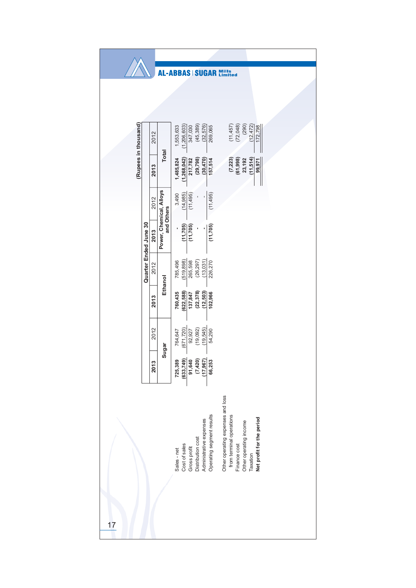|                      |                       |      |              | <b>AL-ABBAS SUGAR</b>        |              |                                                                                       |                         |                                       | <b>Mills</b><br>Limited                                                                                                                          |           |  |  |           |  |
|----------------------|-----------------------|------|--------------|------------------------------|--------------|---------------------------------------------------------------------------------------|-------------------------|---------------------------------------|--------------------------------------------------------------------------------------------------------------------------------------------------|-----------|--|--|-----------|--|
|                      |                       |      |              |                              |              |                                                                                       |                         |                                       |                                                                                                                                                  |           |  |  |           |  |
|                      |                       |      |              |                              |              |                                                                                       |                         |                                       |                                                                                                                                                  |           |  |  |           |  |
|                      |                       | 2012 |              | (1, 206, 603)<br>1,553,633   | 347,030      | (45, 389)                                                                             | (32, 576)               | 269,065                               | (290)<br>(72, 048)<br>(12, 472)<br>(11,457)<br>172,798                                                                                           |           |  |  |           |  |
| (Rupees in thousand) |                       | 2013 | <b>Total</b> | (1, 268, 042)<br>1,485,824   | 217,782      | (29, 798)                                                                             | (30, 470)               | 157,514                               | (11,514)<br>(7, 223)<br>$(61, 998)$<br>23,192<br>99,971                                                                                          |           |  |  |           |  |
|                      |                       | 2012 |              | (14, 985)<br>3,490           | (11, 495)    |                                                                                       | ı                       | (11, 495)                             |                                                                                                                                                  |           |  |  |           |  |
|                      |                       |      |              |                              |              |                                                                                       | 2013                    | Power, Chemical, Alloys<br>and Others | (11, 705)                                                                                                                                        | (11, 705) |  |  | (11, 705) |  |
|                      | Quarter Ended June 30 | 2012 |              | (519, 898)<br>785,496        | 265,598      | (26, 297)                                                                             | (13, 031)               | 226,270                               |                                                                                                                                                  |           |  |  |           |  |
|                      |                       | 2013 | Ethanol      | (622, 588)<br>760,435        | 137,847      | (22, 378)                                                                             | (12, 503)               | 102,966                               |                                                                                                                                                  |           |  |  |           |  |
|                      |                       | 2012 | Sugar        | (671, 720)<br>764,647        | 92,927       | (19, 092)                                                                             | (19, 545)               | 54,290                                |                                                                                                                                                  |           |  |  |           |  |
|                      |                       | 2013 |              | 725,389                      |              | $\begin{array}{r} (633,749) \\ 91,640 \\ (7,420) \\ (17,967) \\ (17,967) \end{array}$ |                         |                                       |                                                                                                                                                  |           |  |  |           |  |
|                      |                       |      |              | Cost of sales<br>Sales - net | Gross profit | Distribution cost                                                                     | Administrative expenses | Operating segment results             | Other operating expenses and loss<br>from terminal operations<br>Net profit for the period<br>Other operating income<br>Finance cost<br>Taxation |           |  |  |           |  |
| 17                   |                       |      |              |                              |              |                                                                                       |                         |                                       |                                                                                                                                                  |           |  |  |           |  |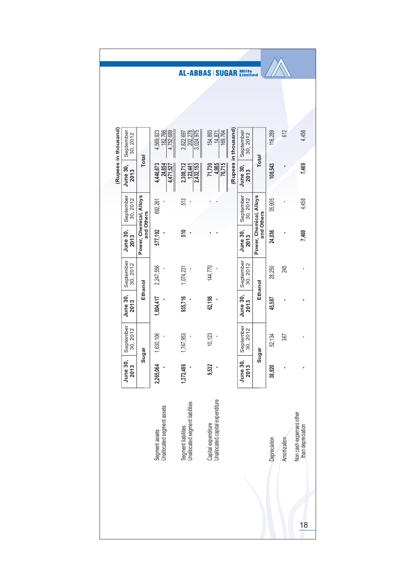|                      |                         |                                       |                                              |                                                        | <b>AL-ABBAS   SUGAR</b>                                |                      | <b>Mills</b><br>Limited |                                       |              |              |                                              |
|----------------------|-------------------------|---------------------------------------|----------------------------------------------|--------------------------------------------------------|--------------------------------------------------------|----------------------|-------------------------|---------------------------------------|--------------|--------------|----------------------------------------------|
|                      |                         |                                       |                                              |                                                        |                                                        |                      |                         |                                       |              |              |                                              |
| (Rupees in thousand) | September<br>30, 2012   |                                       | 4,752,689<br>4,569,923<br>182,766            | 202,278<br>3,024,975<br>2,822,697                      | 154,893<br>169,764<br>14,871                           | (Rupees in thousand) | September<br>30, 2012   |                                       | 116,289      | 612          | 4,458                                        |
|                      | June 30,<br>2013        | <b>Total</b>                          | 4,446,673<br>4,471,527<br>24,854             | 2,308,712<br>2,432,153<br>123,441                      | 4,985<br>76,715<br>71,730                              |                      | June 30,<br>2013        | <b>Total</b>                          | 108,543      |              | 7,469                                        |
|                      | September<br>30, 2012   |                                       | 692,261                                      | 513                                                    |                                                        |                      | September<br>30, 2012   |                                       | 35,905       |              | 4,458                                        |
|                      | <b>June 30,</b><br>2013 | Power, Chemical, Alloys<br>and Others | 577,192                                      | 510                                                    |                                                        |                      | <b>June 30,</b><br>2013 | Power, Chemical, Alloys<br>and Others | 24,036       |              | 7,469                                        |
|                      | September<br>30, 2012   |                                       | 2,247,556                                    | 1,074,231                                              | 144,770                                                |                      | September<br>30,2012    |                                       | 28,250       | 245          |                                              |
|                      | <b>June 30,</b><br>2013 | Ethanol                               | 1,604,417                                    | 935,716                                                | 62,198                                                 |                      | <b>June 30,</b><br>2013 | Ethanol                               | 45,587       |              |                                              |
|                      | September<br>30,2012    |                                       | 1,630,106                                    | 1,747,953                                              | 10,123                                                 |                      | September<br>30, 2012   | Sugar                                 | 52,134       | 367          | ı                                            |
|                      | June 30<br>2013         | Sugar                                 | 2,265,064                                    | 1,372,486                                              | 9,532                                                  |                      | June 30<br>2013         |                                       | 38,920       |              |                                              |
|                      |                         |                                       | Segment assets<br>Unallocated segment assets | Segment liabilities<br>Unallocated segment liabilities | Capital expenditure<br>Unallocated capital expenditure |                      |                         |                                       | Depreciation | Amortization | Non cash expenses other<br>than depreciation |
|                      |                         |                                       |                                              |                                                        |                                                        |                      |                         |                                       |              |              | 18                                           |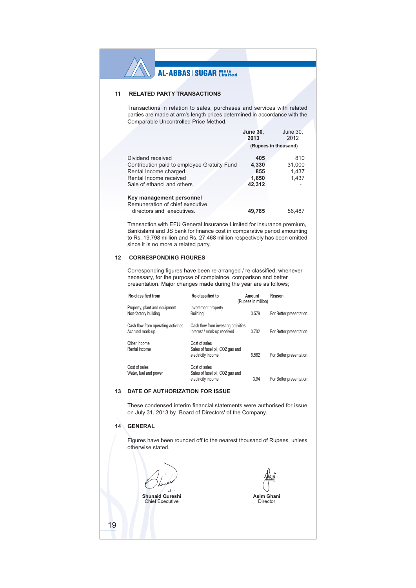#### $11$ **RELATED PARTY TRANSACTIONS**

Transactions in relation to sales, purchases and services with related parties are made at arm's length prices determined in accordance with the Comparable Uncontrolled Price Method.

|                                             | <b>June 30,</b><br>2013 | June 30,<br>2012 |  |
|---------------------------------------------|-------------------------|------------------|--|
|                                             | (Rupees in thousand)    |                  |  |
| Dividend received                           | 405                     | 810              |  |
| Contribution paid to employee Gratuity Fund | 4,330                   | 31,000           |  |
| Rental Income charged                       | 855                     | 1,437            |  |
| Rental Income received                      | 1,650                   | 1,437            |  |
| Sale of ethanol and others                  | 42,312                  |                  |  |
| Key management personnel                    |                         |                  |  |
| Remuneration of chief executive,            |                         |                  |  |
| directors and executives.                   | 49.785                  | 56.487           |  |

Transaction with EFU General Insurance Limited for insurance premium, Bankislami and JS bank for finance cost in comparative period amounting to Rs. 19.798 million and Rs. 27.468 million respectively has been omitted since it is no more a related party.

#### 12 CORRESPONDING FIGURES

Corresponding figures have been re-arranged / re-classified, whenever necessary, for the purpose of complaince, comparison and better presentation. Major changes made during the year are as follows;

| Re-classified from                                     | Re-classified to                                                       | Amount<br>(Rupees in million) | Reason                  |
|--------------------------------------------------------|------------------------------------------------------------------------|-------------------------------|-------------------------|
| Property, plant and equipment<br>Non-factory building  | Investment property<br><b>Building</b>                                 | 0.579                         | For Better presentation |
| Cash flow from operating activities<br>Accrued mark-up | Cash flow from investing activities<br>Interest / mark-up received     | 0.702                         | For Better presentation |
| Other Income<br>Rental income                          | Cost of sales<br>Sales of fusel oil, CO2 gas and<br>electricity income | 6.562                         | For Better presentation |
| Cost of sales<br>Water, fuel and power                 | Cost of sales<br>Sales of fusel oil, CO2 gas and<br>electricity income | 3.94                          | For Better presentation |

#### 13 DATE OF AUTHORIZATION FOR ISSUE

These condensed interim financial statements were authorised for issue on July 31, 2013 by Board of Directors' of the Company.

## 14 GENERAL

19

Figures have been rounded off to the nearest thousand of Rupees, unless otherwise stated.

**Shunaid Qureshi** Chief Executive

Asim Ghani

Director